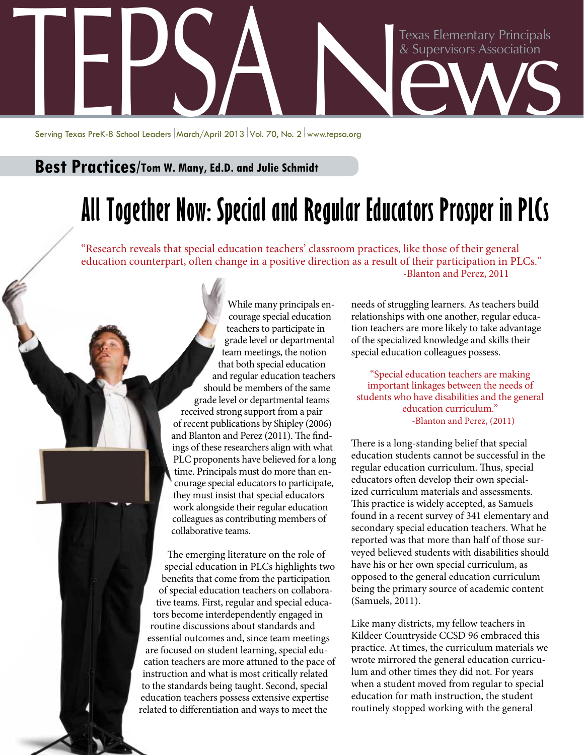

Serving Texas PreK-8 School Leaders | March/April 2013 | Vol. 70, No. 2 | www.tepsa.ora

## **Best Practices/Tom W. Many, Ed.D. and Julie Schmidt**

## **All Together Now: Special and Regular Educators Prosper in PLCs**

"Research reveals that special education teachers' classroom practices, like those of their general education counterpart, often change in a positive direction as a result of their participation in PLCs." -Blanton and Perez, 2011

> While many principals encourage special education teachers to participate in grade level or departmental team meetings, the notion that both special education and regular education teachers should be members of the same grade level or departmental teams received strong support from a pair of recent publications by Shipley (2006) and Blanton and Perez (2011). The findings of these researchers align with what PLC proponents have believed for a long time. Principals must do more than encourage special educators to participate, they must insist that special educators work alongside their regular education colleagues as contributing members of collaborative teams.

The emerging literature on the role of special education in PLCs highlights two benefits that come from the participation of special education teachers on collaborative teams. First, regular and special educators become interdependently engaged in routine discussions about standards and essential outcomes and, since team meetings are focused on student learning, special education teachers are more attuned to the pace of instruction and what is most critically related to the standards being taught. Second, special education teachers possess extensive expertise related to differentiation and ways to meet the

needs of struggling learners. As teachers build relationships with one another, regular education teachers are more likely to take advantage of the specialized knowledge and skills their special education colleagues possess.

"Special education teachers are making important linkages between the needs of students who have disabilities and the general education curriculum." -Blanton and Perez, (2011)

There is a long-standing belief that special education students cannot be successful in the regular education curriculum. Thus, special educators often develop their own specialized curriculum materials and assessments. This practice is widely accepted, as Samuels found in a recent survey of 341 elementary and secondary special education teachers. What he reported was that more than half of those surveyed believed students with disabilities should have his or her own special curriculum, as opposed to the general education curriculum being the primary source of academic content (Samuels, 2011).

Like many districts, my fellow teachers in Kildeer Countryside CCSD 96 embraced this practice. At times, the curriculum materials we wrote mirrored the general education curriculum and other times they did not. For years when a student moved from regular to special education for math instruction, the student routinely stopped working with the general